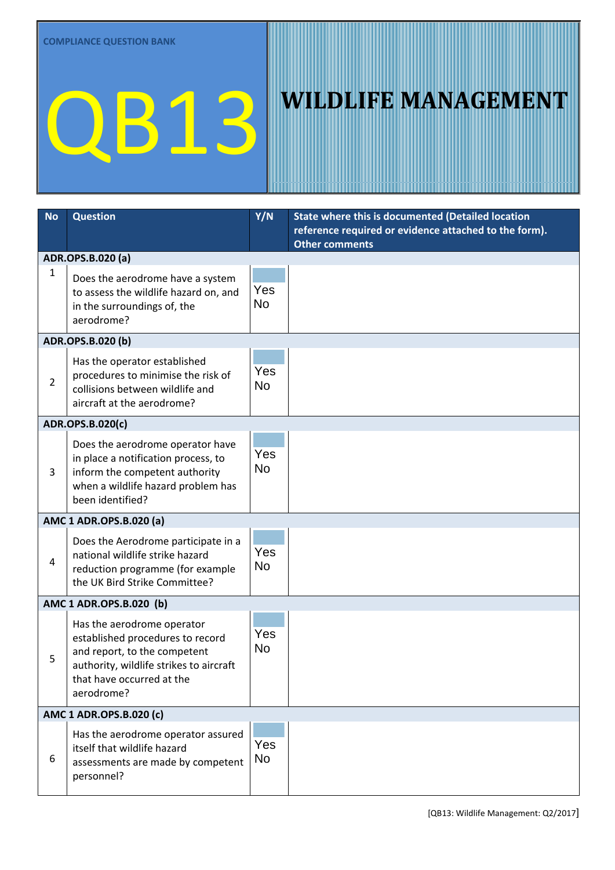## QB13 WILDLIFE MANAGEMENT

| <b>No</b>               | <b>Question</b>                                                                                                                                                                      | Y/N              | State where this is documented (Detailed location<br>reference required or evidence attached to the form).<br><b>Other comments</b> |  |  |
|-------------------------|--------------------------------------------------------------------------------------------------------------------------------------------------------------------------------------|------------------|-------------------------------------------------------------------------------------------------------------------------------------|--|--|
|                         | ADR.OPS.B.020 (a)                                                                                                                                                                    |                  |                                                                                                                                     |  |  |
| $\mathbf{1}$            | Does the aerodrome have a system<br>to assess the wildlife hazard on, and<br>in the surroundings of, the<br>aerodrome?                                                               | Yes<br><b>No</b> |                                                                                                                                     |  |  |
| ADR.OPS.B.020 (b)       |                                                                                                                                                                                      |                  |                                                                                                                                     |  |  |
| $\overline{2}$          | Has the operator established<br>procedures to minimise the risk of<br>collisions between wildlife and<br>aircraft at the aerodrome?                                                  | Yes<br><b>No</b> |                                                                                                                                     |  |  |
| ADR.OPS.B.020(c)        |                                                                                                                                                                                      |                  |                                                                                                                                     |  |  |
| 3                       | Does the aerodrome operator have<br>in place a notification process, to<br>inform the competent authority<br>when a wildlife hazard problem has<br>been identified?                  | Yes<br><b>No</b> |                                                                                                                                     |  |  |
| AMC 1 ADR.OPS.B.020 (a) |                                                                                                                                                                                      |                  |                                                                                                                                     |  |  |
| 4                       | Does the Aerodrome participate in a<br>national wildlife strike hazard<br>reduction programme (for example<br>the UK Bird Strike Committee?                                          | Yes<br><b>No</b> |                                                                                                                                     |  |  |
| AMC 1 ADR.OPS.B.020 (b) |                                                                                                                                                                                      |                  |                                                                                                                                     |  |  |
| 5                       | Has the aerodrome operator<br>established procedures to record<br>and report, to the competent<br>authority, wildlife strikes to aircraft<br>that have occurred at the<br>aerodrome? | Yes<br><b>No</b> |                                                                                                                                     |  |  |
| AMC 1 ADR.OPS.B.020 (c) |                                                                                                                                                                                      |                  |                                                                                                                                     |  |  |
| 6                       | Has the aerodrome operator assured<br>itself that wildlife hazard<br>assessments are made by competent<br>personnel?                                                                 | Yes<br><b>No</b> |                                                                                                                                     |  |  |